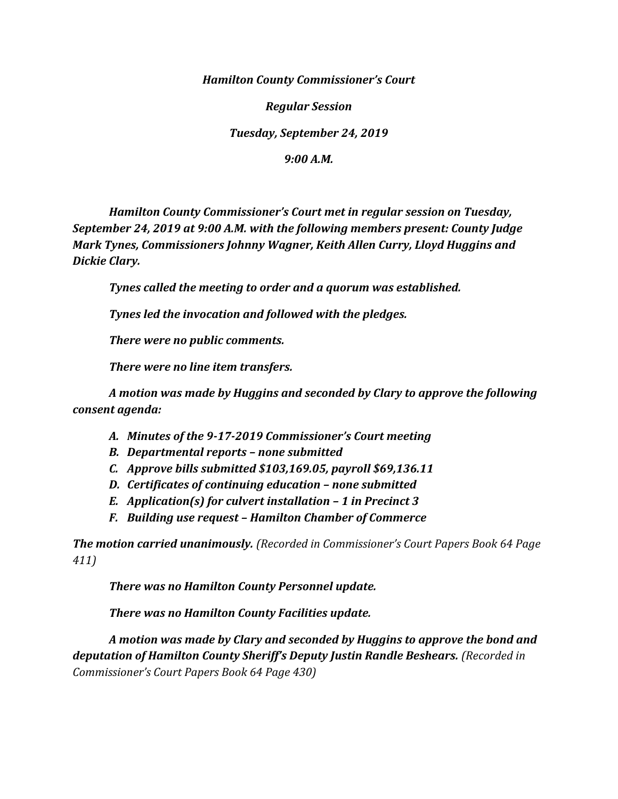*Hamilton County Commissioner's Court*

*Regular Session*

*Tuesday, September 24, 2019*

*9:00 A.M.*

*Hamilton County Commissioner's Court met in regular session on Tuesday, September 24, 2019 at 9:00 A.M. with the following members present: County Judge Mark Tynes, Commissioners Johnny Wagner, Keith Allen Curry, Lloyd Huggins and Dickie Clary.*

*Tynes called the meeting to order and a quorum was established.*

*Tynes led the invocation and followed with the pledges.*

*There were no public comments.*

*There were no line item transfers.*

*A motion was made by Huggins and seconded by Clary to approve the following consent agenda:*

- *A. Minutes of the 9-17-2019 Commissioner's Court meeting*
- *B. Departmental reports – none submitted*
- *C. Approve bills submitted \$103,169.05, payroll \$69,136.11*
- *D. Certificates of continuing education – none submitted*
- *E. Application(s) for culvert installation – 1 in Precinct 3*
- *F. Building use request – Hamilton Chamber of Commerce*

*The motion carried unanimously. (Recorded in Commissioner's Court Papers Book 64 Page 411)*

*There was no Hamilton County Personnel update.*

*There was no Hamilton County Facilities update.*

*A motion was made by Clary and seconded by Huggins to approve the bond and deputation of Hamilton County Sheriff's Deputy Justin Randle Beshears. (Recorded in Commissioner's Court Papers Book 64 Page 430)*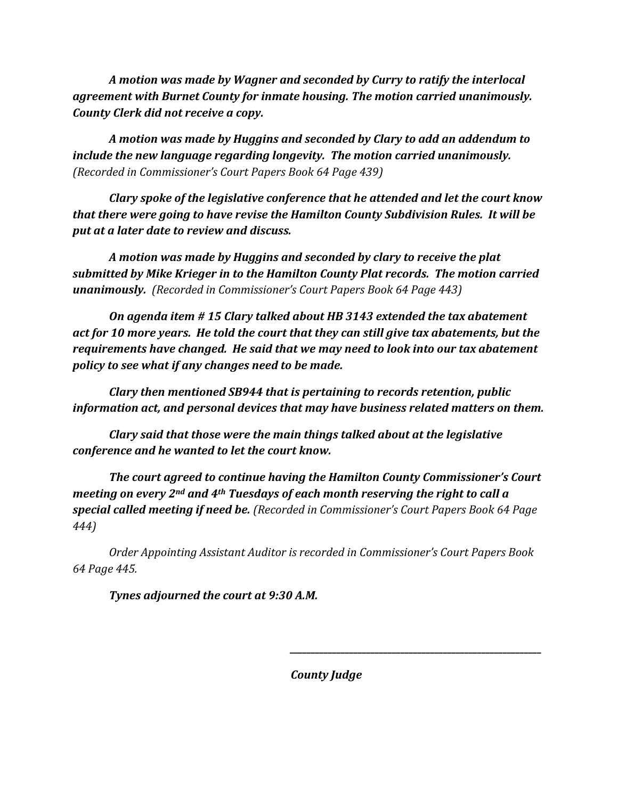*A motion was made by Wagner and seconded by Curry to ratify the interlocal agreement with Burnet County for inmate housing. The motion carried unanimously. County Clerk did not receive a copy.*

*A motion was made by Huggins and seconded by Clary to add an addendum to include the new language regarding longevity. The motion carried unanimously. (Recorded in Commissioner's Court Papers Book 64 Page 439)*

*Clary spoke of the legislative conference that he attended and let the court know that there were going to have revise the Hamilton County Subdivision Rules. It will be put at a later date to review and discuss.*

*A motion was made by Huggins and seconded by clary to receive the plat submitted by Mike Krieger in to the Hamilton County Plat records. The motion carried unanimously. (Recorded in Commissioner's Court Papers Book 64 Page 443)*

*On agenda item # 15 Clary talked about HB 3143 extended the tax abatement act for 10 more years. He told the court that they can still give tax abatements, but the requirements have changed. He said that we may need to look into our tax abatement policy to see what if any changes need to be made.*

*Clary then mentioned SB944 that is pertaining to records retention, public information act, and personal devices that may have business related matters on them.* 

*Clary said that those were the main things talked about at the legislative conference and he wanted to let the court know.*

*The court agreed to continue having the Hamilton County Commissioner's Court meeting on every 2nd and 4th Tuesdays of each month reserving the right to call a special called meeting if need be. (Recorded in Commissioner's Court Papers Book 64 Page 444)*

*Order Appointing Assistant Auditor is recorded in Commissioner's Court Papers Book 64 Page 445.*

*Tynes adjourned the court at 9:30 A.M.*

*County Judge*

*\_\_\_\_\_\_\_\_\_\_\_\_\_\_\_\_\_\_\_\_\_\_\_\_\_\_\_\_\_\_\_\_\_\_\_\_\_\_\_\_\_\_\_\_\_\_\_\_\_\_\_\_\_\_\_\_\_\_\_*